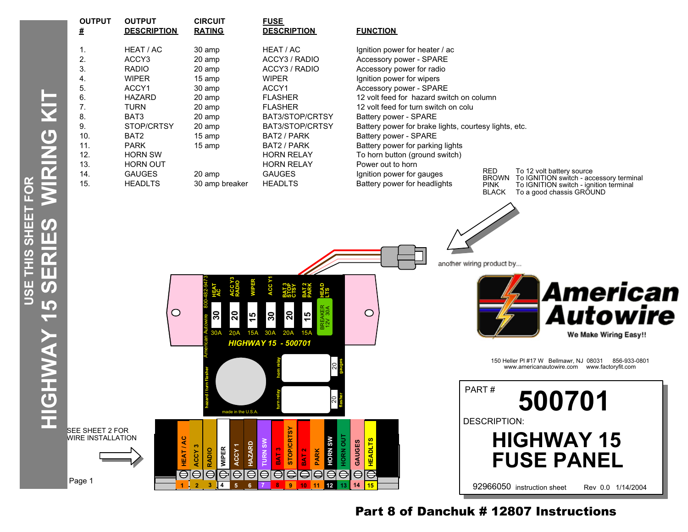|                             | <u>#</u>                                                                                                                                 | <u>DESCRIPT</u>                                                                                                                                                                                         |
|-----------------------------|------------------------------------------------------------------------------------------------------------------------------------------|---------------------------------------------------------------------------------------------------------------------------------------------------------------------------------------------------------|
| 工<br>S<br>S<br>ī.<br>i<br>U | $\mathbf 1$ .<br>$\overline{2}$ .<br>3.<br>4.<br>5.<br>6.<br>7.<br>8.<br>9.<br>10.<br>11.<br>12.<br>13.<br>14.<br>15.<br>SFF SHFFT 2 FOR | HEAT / AC<br>ACCY3<br><b>RADIO</b><br><b>WIPER</b><br>ACCY1<br><b>HAZARD</b><br><b>TURN</b><br>BAT3<br>STOP/CRT<br>BAT2<br><b>PARK</b><br><b>HORN SW</b><br>HORN OUT<br><b>GAUGES</b><br><b>HEADLTS</b> |

**OUTPUT OUTPUT CIRCUIT FUSE** 

| ο.<br>7.<br>8.<br>9.<br>10.<br>11.<br>12.<br>13.<br>14.<br>15. | <b>MALARU</b><br><b>TURN</b><br>BAT3<br>STOP/CRTSY<br>BAT <sub>2</sub><br><b>PARK</b><br><b>HORN SW</b><br><b>HORN OUT</b><br><b>GAUGES</b><br><b>HEADLTS</b> | ∠∪ amp<br>20 amp<br>20 amp<br>20 amp<br>15 amp<br>15 amp<br>20 amp | 30 amp breaker                                    |                                  | <b>FLASHER</b><br><b>FLASHER</b><br>BAT3/STOP/CRTSY<br>BAT3/STOP/CRTSY<br>BAT2 / PARK<br>BAT2 / PARK<br><b>HORN RELAY</b><br><b>HORN RELAY</b><br><b>GAUGES</b><br><b>HEADLTS</b> |                      |                               |                    | iz volt leed for hazard switch<br>12 volt feed for turn switch on o<br>Battery power - SPARE<br>Battery power for brake lights,<br>Battery power - SPARE<br>Battery power for parking lights<br>To horn button (ground switch)<br>Power out to horn<br>Ignition power for gauges<br>Battery power for headlights |  |  |         |
|----------------------------------------------------------------|---------------------------------------------------------------------------------------------------------------------------------------------------------------|--------------------------------------------------------------------|---------------------------------------------------|----------------------------------|-----------------------------------------------------------------------------------------------------------------------------------------------------------------------------------|----------------------|-------------------------------|--------------------|------------------------------------------------------------------------------------------------------------------------------------------------------------------------------------------------------------------------------------------------------------------------------------------------------------------|--|--|---------|
|                                                                |                                                                                                                                                               | O                                                                  | 30<br>20<br>30A<br>20A                            | <b>WIPER</b><br>45<br><b>15A</b> | ACC Y1<br>20<br>30<br>30A<br>20A<br><b>HIGHWAY 15 - 500701</b>                                                                                                                    | $\frac{5}{3}$<br>15A | <b>BREAKER</b><br>12V 30A     |                    | $\circ$                                                                                                                                                                                                                                                                                                          |  |  | another |
|                                                                |                                                                                                                                                               |                                                                    | made in the U.S.A                                 |                                  |                                                                                                                                                                                   |                      | ସ                             |                    |                                                                                                                                                                                                                                                                                                                  |  |  |         |
| SHEET 2 FOR<br><b>E INSTALLATION</b>                           |                                                                                                                                                               | HEAT/AC<br>ACCY <sub>3</sub>                                       | ACCY <sub>1</sub><br><b>WIPER</b><br><b>RADIO</b> | <b>TURN SW</b><br><b>HAZARD</b>  | <b>STOP/CRTSY</b><br><b>TAB</b>                                                                                                                                                   | BAT <sub>2</sub>     | <b>HORN SW</b><br><b>PARK</b> | HORN OUT<br>GAUGES | <b>HEADLTS</b>                                                                                                                                                                                                                                                                                                   |  |  |         |

**1 2 3 4 5 6 7 8 9 10 11 12 13 14 15**

## **# DESCRIPTION RATING DESCRIPTION FUNCTION**

1. 30 amp HEAT / AC Ignition power for heater / ac 20 amp  $ACCY3 / RADIO$  Accessory power - SPARE 3. RADIO 20 amp ACCY3 / RADIO Accessory power for radio 15 amp WIPER Ignition power for wipers 30 amp  $ACCY1$  ACCESSOR power - SPARE<br>30 amp ELASHER 12 volt food for bazard swi 12 volt feed for hazard switch on column n switch on colu orake lights, courtesy lights, etc. parking lights

RED To 12 volt battery source BROWN To IGNITION switch - accessory terminal PINK To IGNITION switch - ignition terminal BLACK To a good chassis GROUND

another wiring product by...



150 Heller Pl #17 W Bellmawr, NJ 08031 856-933-0801 www.americanautowire.com www.factoryfit.com



Part 8 of Danchuk # 12807 Instructions

WIRE INSTALLATION